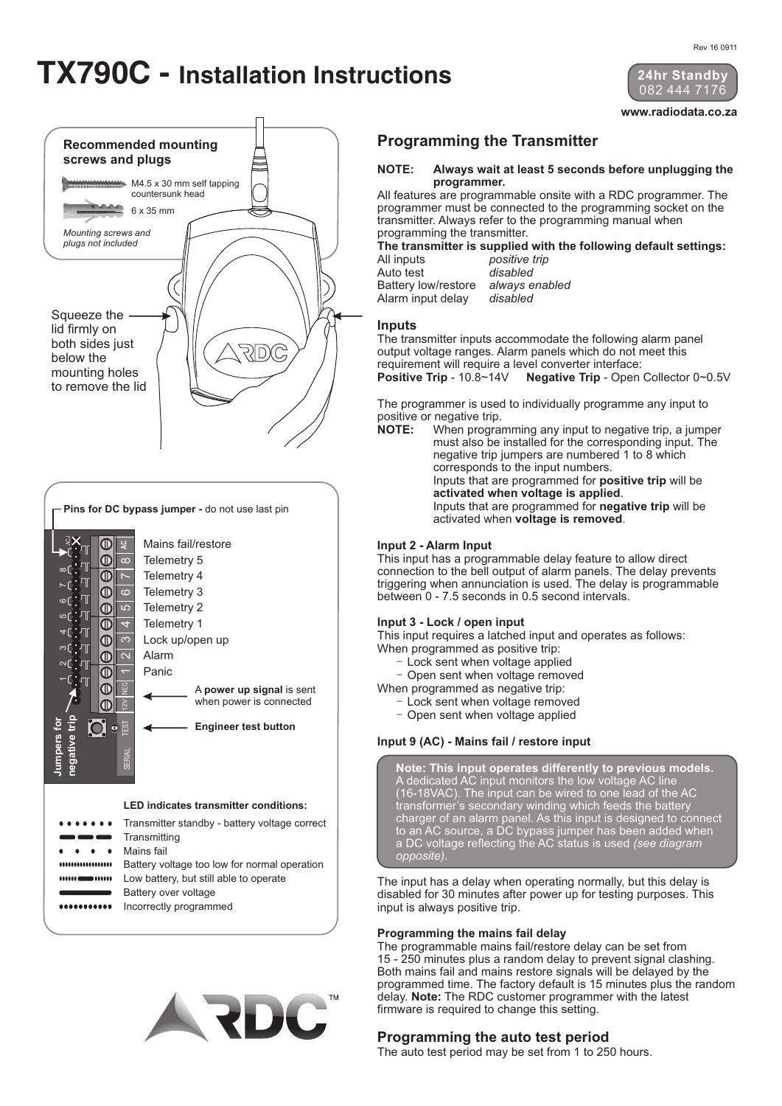# **TX790C - Installation Instructions**



**www.radiodata.co.za**

#### **Programming the Transmitter**

#### **NOTE: Always wait at least 5 seconds before unplugging the programmer.**

All features are programmable onsite with a RDC programmer. The programmer must be connected to the programming socket on the transmitter. Always refer to the programming manual when programming the transmitter.

**The transmitter is supplied with the following default settings:** positive trip<br>disabled Auto test

Battery low/restore *always enabled* Alarm input delay

## **Inputs**

The transmitter inputs accommodate the following alarm panel output voltage ranges. Alarm panels which do not meet this requirement will require a level converter interface: **Positive Trip** - 10.8~14V **Negative Trip** - Open Collector 0~0.5V

The programmer is used to individually programme any input to positive or negative trip.

**NOTE:** When programming any input to negative trip, a jumper must also be installed for the corresponding input. The negative trip jumpers are numbered 1 to 8 which corresponds to the input numbers. Inputs that are programmed for **positive trip** will be **activated when voltage is applied**. Inputs that are programmed for **negative trip** will be activated when **voltage is removed**.

#### **Input 2 - Alarm Input**

This input has a programmable delay feature to allow direct connection to the bell output of alarm panels. The delay prevents triggering when annunciation is used. The delay is programmable between 0 - 7.5 seconds in 0.5 second intervals.

#### **Input 3 - Lock / open input**

This input requires a latched input and operates as follows: When programmed as positive trip:

- Lock sent when voltage applied
- Open sent when voltage removed
- When programmed as negative trip:
	- Lock sent when voltage removed
	- Open sent when voltage applied

#### **Input 9 (AC) - Mains fail / restore input**

**Note: This input operates differently to previous models.** A dedicated AC input monitors the low voltage AC line (16-18VAC). The input can be wired to one lead of the AC transformer's secondary winding which feeds the battery charger of an alarm panel. As this input is designed to connect to an AC source, a DC bypass jumper has been added when a DC voltage reflecting the AC status is used *(see diagram opposite).*

The input has a delay when operating normally, but this delay is disabled for 30 minutes after power up for testing purposes. This input is always positive trip.

#### **Programming the mains fail delay**

The programmable mains fail/restore delay can be set from 15 - 250 minutes plus a random delay to prevent signal clashing. Both mains fail and mains restore signals will be delayed by the programmed time. The factory default is 15 minutes plus the random delay. **Note:** The RDC customer programmer with the latest firmware is required to change this setting.

#### **Programming the auto test period**

The auto test period may be set from 1 to 250 hours.



A **power up signal** is sent when power is connected Mains fail/restore Telemetry 5 Telemetry 4 Telemetry 3 Telemetry 2 Telemetry 1 Lock up/open up Alarm Panic  $\frac{2}{2}$ <u>ي</u>  $\sim$  $1 | 2 | 3 | 4 | 5 | 6 | 7 | 8$ Pins for DC bypass jumper - do not use last pin<br>  $\frac{1}{2}$ <br>  $\frac{1}{2}$ <br>  $\frac{1}{2}$ <br>  $\frac{1}{2}$ <br>  $\frac{1}{2}$ <br>  $\frac{1}{2}$ <br>  $\frac{1}{2}$ <br>  $\frac{1}{2}$ <br>  $\frac{1}{2}$ <br>  $\frac{1}{2}$ <br>  $\frac{1}{2}$ <br>  $\frac{1}{2}$ <br>  $\frac{1}{2}$ <br>  $\frac{1}{2}$ <br>  $\frac{1}{2}$ <br>  $\frac{1}{2$ 

**Engineer test button**



 $\bullet \quad \bullet \quad \bullet$ Mains fail

 $\textcolor{red}{\textbf{10}}$ **O** 

ভূ

 $\overline{ }$ 

**Jumpers for negative trip**

> ................. Battery voltage too low for normal operation

SERIAL

Low battery, but still able to operate Battery over voltage ........... Incorrectly programmed